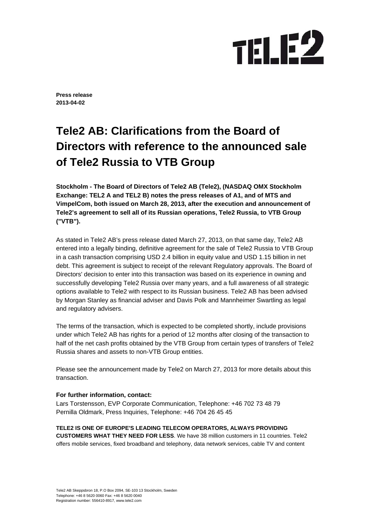## **TELE2**

**Press release 2013-04-02** 

## **Tele2 AB: Clarifications from the Board of Directors with reference to the announced sale of Tele2 Russia to VTB Group**

**Stockholm - The Board of Directors of Tele2 AB (Tele2), (NASDAQ OMX Stockholm Exchange: TEL2 A and TEL2 B) notes the press releases of A1, and of MTS and VimpelCom, both issued on March 28, 2013, after the execution and announcement of Tele2's agreement to sell all of its Russian operations, Tele2 Russia, to VTB Group ("VTB").** 

As stated in Tele2 AB's press release dated March 27, 2013, on that same day, Tele2 AB entered into a legally binding, definitive agreement for the sale of Tele2 Russia to VTB Group in a cash transaction comprising USD 2.4 billion in equity value and USD 1.15 billion in net debt. This agreement is subject to receipt of the relevant Regulatory approvals. The Board of Directors' decision to enter into this transaction was based on its experience in owning and successfully developing Tele2 Russia over many years, and a full awareness of all strategic options available to Tele2 with respect to its Russian business. Tele2 AB has been advised by Morgan Stanley as financial adviser and Davis Polk and Mannheimer Swartling as legal and regulatory advisers.

The terms of the transaction, which is expected to be completed shortly, include provisions under which Tele2 AB has rights for a period of 12 months after closing of the transaction to half of the net cash profits obtained by the VTB Group from certain types of transfers of Tele2 Russia shares and assets to non-VTB Group entities.

Please see the announcement made by Tele2 on March 27, 2013 for more details about this transaction.

## **For further information, contact:**

Lars Torstensson, EVP Corporate Communication, Telephone: +46 702 73 48 79 Pernilla Oldmark, Press Inquiries, Telephone: +46 704 26 45 45

**TELE2 IS ONE OF EUROPE'S LEADING TELECOM OPERATORS, ALWAYS PROVIDING CUSTOMERS WHAT THEY NEED FOR LESS**. We have 38 million customers in 11 countries. Tele2 offers mobile services, fixed broadband and telephony, data network services, cable TV and content